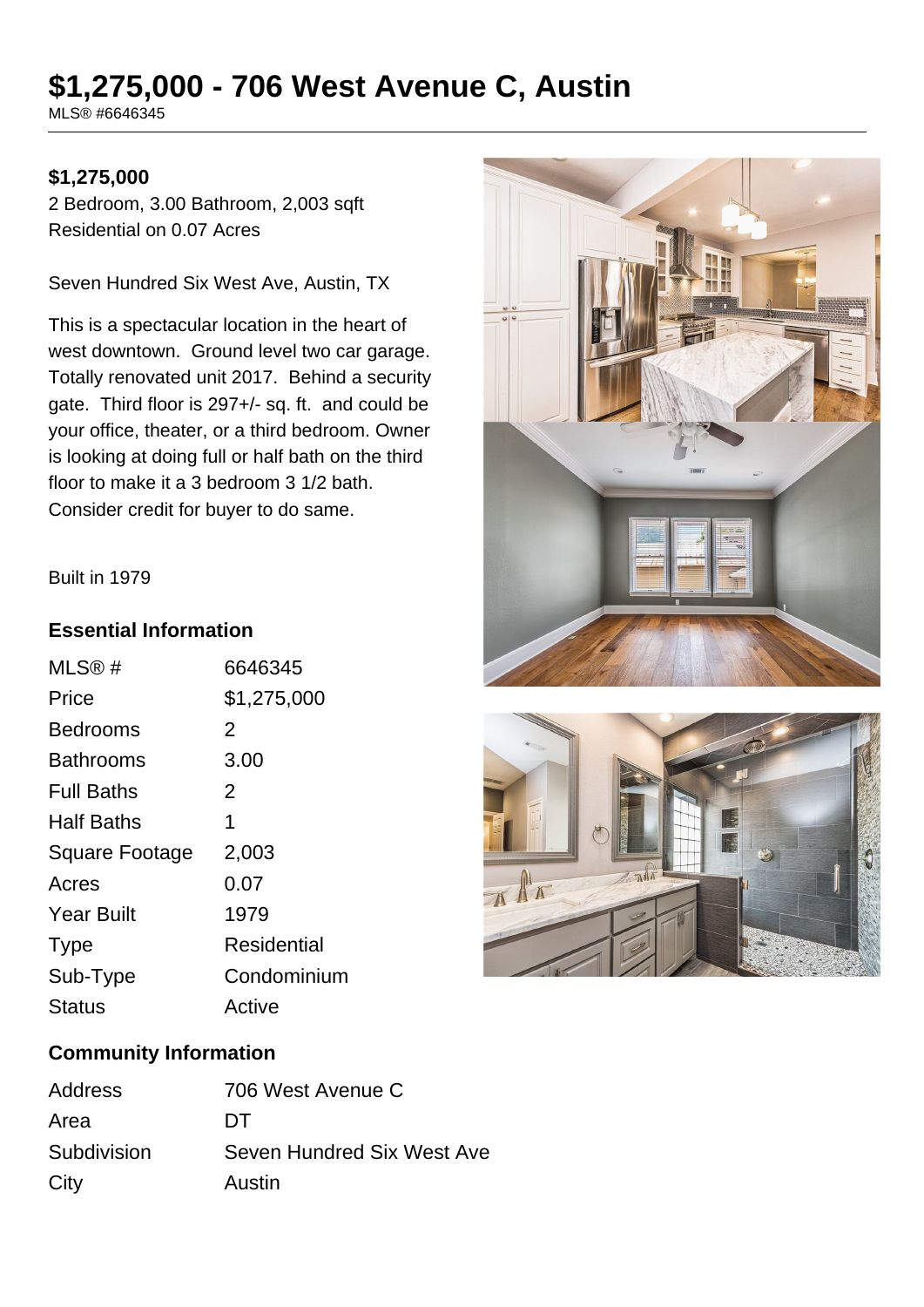# **\$1,275,000 - 706 West Avenue C, Austin**

MLS® #6646345

## **\$1,275,000**

2 Bedroom, 3.00 Bathroom, 2,003 sqft Residential on 0.07 Acres

Seven Hundred Six West Ave, Austin, TX

This is a spectacular location in the heart of west downtown. Ground level two car garage. Totally renovated unit 2017. Behind a security gate. Third floor is 297+/- sq. ft. and could be your office, theater, or a third bedroom. Owner is looking at doing full or half bath on the third floor to make it a 3 bedroom 3 1/2 bath. Consider credit for buyer to do same.





#### Built in 1979

### **Essential Information**

| MLS@#                 | 6646345        |
|-----------------------|----------------|
| Price                 | \$1,275,000    |
| Bedrooms              | $\overline{2}$ |
| Bathrooms             | 3.00           |
| <b>Full Baths</b>     | 2              |
| Half Baths            | 1              |
| <b>Square Footage</b> | 2,003          |
| Acres                 | 0.07           |
| <b>Year Built</b>     | 1979           |
| <b>Type</b>           | Residential    |
| Sub-Type              | Condominium    |
| <b>Status</b>         | Active         |
|                       |                |

## **Community Information**

| Address     | 706 West Avenue C          |
|-------------|----------------------------|
| Area        | DТ                         |
| Subdivision | Seven Hundred Six West Ave |
| City        | Austin                     |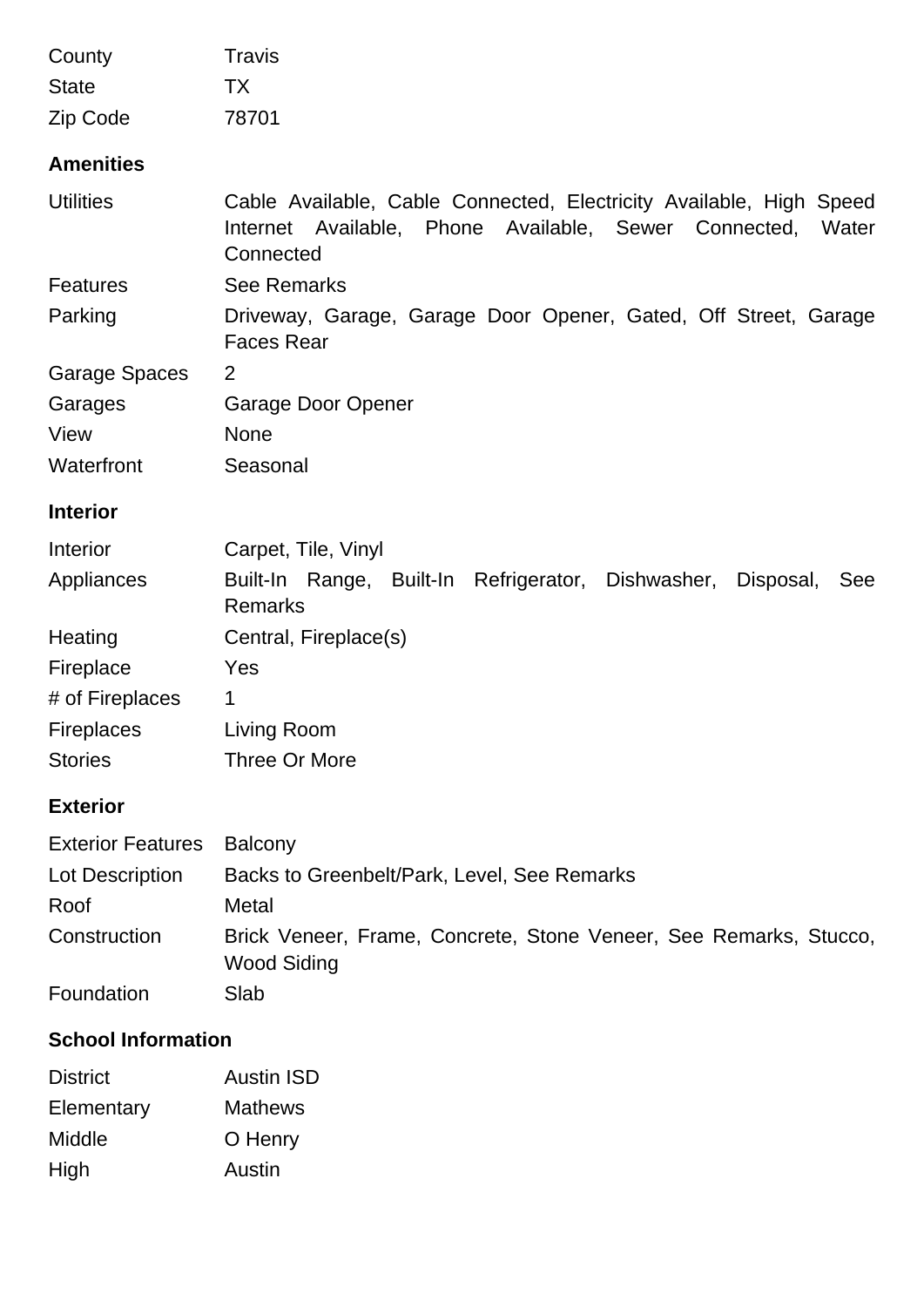| County                    | Travis                                                                                                                                             |
|---------------------------|----------------------------------------------------------------------------------------------------------------------------------------------------|
| <b>State</b>              | TX                                                                                                                                                 |
| Zip Code                  | 78701                                                                                                                                              |
| <b>Amenities</b>          |                                                                                                                                                    |
| <b>Utilities</b>          | Cable Available, Cable Connected, Electricity Available, High Speed<br>Internet Available, Phone Available, Sewer Connected,<br>Water<br>Connected |
| <b>Features</b>           | <b>See Remarks</b>                                                                                                                                 |
| Parking                   | Driveway, Garage, Garage Door Opener, Gated, Off Street, Garage<br><b>Faces Rear</b>                                                               |
| <b>Garage Spaces</b>      | $\overline{2}$                                                                                                                                     |
| Garages                   | Garage Door Opener                                                                                                                                 |
| View                      | <b>None</b>                                                                                                                                        |
| Waterfront                | Seasonal                                                                                                                                           |
| <b>Interior</b>           |                                                                                                                                                    |
| Interior                  | Carpet, Tile, Vinyl                                                                                                                                |
| Appliances                | Built-In Range, Built-In Refrigerator, Dishwasher, Disposal,<br>See<br><b>Remarks</b>                                                              |
| Heating                   | Central, Fireplace(s)                                                                                                                              |
| Fireplace                 | Yes                                                                                                                                                |
| # of Fireplaces           | 1                                                                                                                                                  |
| <b>Fireplaces</b>         | Living Room                                                                                                                                        |
| <b>Stories</b>            | Three Or More                                                                                                                                      |
| <b>Exterior</b>           |                                                                                                                                                    |
| <b>Exterior Features</b>  | <b>Balcony</b>                                                                                                                                     |
| Lot Description           | Backs to Greenbelt/Park, Level, See Remarks                                                                                                        |
| Roof                      | Metal                                                                                                                                              |
| Construction              | Brick Veneer, Frame, Concrete, Stone Veneer, See Remarks, Stucco,<br><b>Wood Siding</b>                                                            |
| Foundation                | Slab                                                                                                                                               |
| <b>School Information</b> |                                                                                                                                                    |
| <b>District</b>           | <b>Austin ISD</b>                                                                                                                                  |
| Elementary                | <b>Mathews</b>                                                                                                                                     |

- Middle **O** Henry
- High Austin